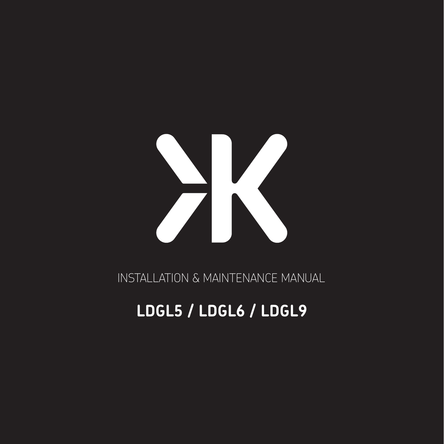

INSTALLATION & MAINTENANCE MANUAL

# **LDGL5 / LDGL6 / LDGL9**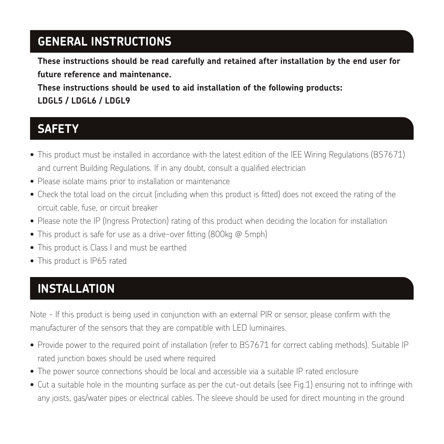#### **GENERAL INSTRUCTIONS**

**These instructions should be read carefully and retained after installation by the end user for future reference and maintenance.**

**These instructions should be used to aid installation of the following products: LDGL5 / LDGL6 / LDGL9**

#### **SAFETY**

- This product must be installed in accordance with the latest edition of the IEE Wiring Regulations (BS7671) and current Building Regulations. If in any doubt, consult a qualified electrician
- Please isolate mains prior to installation or maintenance
- Check the total load on the circuit (including when this product is fitted) does not exceed the rating of the circuit cable, fuse, or circuit breaker
- Please note the IP (Ingress Protection) rating of this product when deciding the location for installation
- This product is safe for use as a drive-over fitting (800kg @ 5mph)
- This product is Class I and must be earthed
- This product is IP65 rated

### **INSTALLATION**

Note - If this product is being used in conjunction with an external PIR or sensor, please confirm with the manufacturer of the sensors that they are compatible with LED luminaires.

- Provide power to the required point of installation (refer to BS7671 for correct cabling methods). Suitable IP rated junction boxes should be used where required
- The power source connections should be local and accessible via a suitable IP rated enclosure
- Cut a suitable hole in the mounting surface as per the cut-out details (see Fig.1) ensuring not to infringe with any joists, gas/water pipes or electrical cables. The sleeve should be used for direct mounting in the ground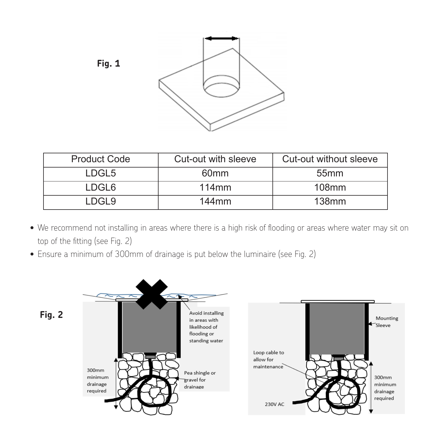

| <b>Product Code</b> | Cut-out with sleeve | Cut-out without sleeve |
|---------------------|---------------------|------------------------|
| LDGL5               | 60 <sub>mm</sub>    | 55mm                   |
| LDGL6               | 114mm               | $108$ mm               |
| I DGI 9             | 144mm               | 138 <sub>mm</sub>      |

- $\bullet$  We recommend not installing in areas where there is a high risk of flooding or areas where water may sit on top of the fitting (see Fig. 2)
- Ensure a minimum of 300mm of drainage is put below the luminaire (see Fig. 2) • Ensure a minimum of 300mm of drainage is put below the luminaire (see Fig. 2)

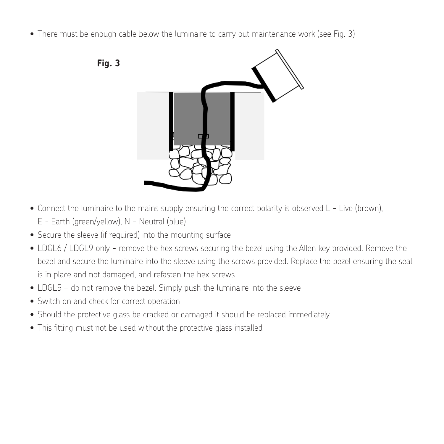• There must be enough cable below the luminaire to carry out maintenance work (see Fig. 3)





- $\bullet$  Connect the mains supply ensuring the correct polarity is observed L Live (brown), Eq. ( • Connect the luminaire to the mains supply ensuring the correct polarity is observed L - Live (brown),
	- Earth (green/yellow), N Neutral (blue) E Earth (green/yellow), N Neutral (blue)
- Secure the sleeve (if required) into the mounting surface Secure the sleeve (if required) into the mounting surface
- $\bullet$  LDGL6 / LDGL9 only remove the hex screws securing the bezel using the Allen key provided. Remove the bezel and secure the luminaire into the sleeve using the screws provided. Replace the bezel ensuring the seal is in place and not damaged, and refasten the hex screws
- LDGL5 do not remove the bezel. Simply push the luminaire into the sleeve
- Switch on and check for correct operation
- **WARNING** Should the protective glass be cracked or damaged it should be replaced immediately
- $\bullet$  This fitting must not be used without the protective glass installed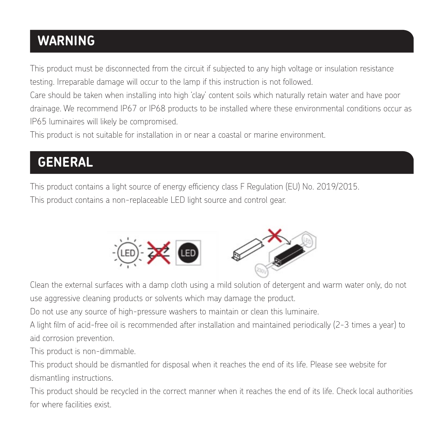# **WARNING**

This product must be disconnected from the circuit if subjected to any high voltage or insulation resistance testing. Irreparable damage will occur to the lamp if this instruction is not followed.

Care should be taken when installing into high 'clay' content soils which naturally retain water and have poor drainage. We recommend IP67 or IP68 products to be installed where these environmental conditions occur as IP65 luminaires will likely be compromised.

This product is not suitable for installation in or near a coastal or marine environment.

# **GENERAL**

This product contains a light source of energy efficiency class F Regulation (EU) No. 2019/2015. (EU) No. 2019/2015. This product contains a non-replaceable LED light source and control gear. This product contains a light source of energy efficiency class F (LDGL6) / G (LDGL5, LDGL9) to Regulation



This product contains a non-replaceable LED light source and control gear.

use aggressive cleaning products or solvents which may damage the product. Clean the external surfaces with a damp cloth using a mild solution of detergent and warm water only, do not

Do not use any source of high-pressure washers to maintain or clean this luminaire.

A light film of acid-free oil is recommended after installation and maintained periodically (2-3 times a year) to aid corrosion prevention.

 $A_{\rm{min}}$ This product is non-dimmable.

.<br>This product should be dismantled for disposal when it reaches the end of its life. Please see website for  $T$  is non-dimmability is non-dimmasily is non-dimmasily is non-dimmasily is non-dimmasily is non-dimmasily is nondismantling instructions.

 $T_{\rm eff}$  and  $T_{\rm eff}$  and of its life. Please see website for its life. Please see website for its life. Please see website for its life. Please see website for its life. Please see website for its life. Please see websit This product should be recycled in the correct manner when it reaches the end of its life. Check local authorities for where facilities exist.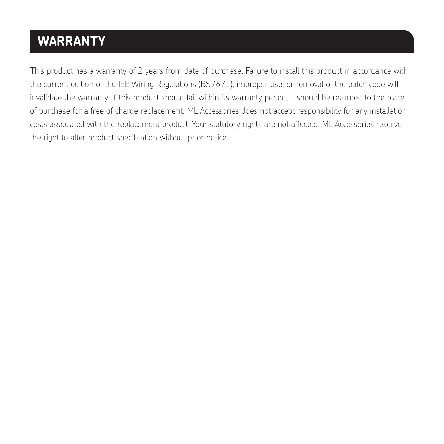# **WARRANTY**

This product has a warranty of 2 years from date of purchase. Failure to install this product in accordance with the current edition of the IEE Wiring Regulations (BS7671), improper use, or removal of the batch code will invalidate the warranty. If this product should fail within its warranty period, it should be returned to the place of purchase for a free of charge replacement. ML Accessories does not accept responsibility for any installation costs associated with the replacement product. Your statutory rights are not affected. ML Accessories reserve the right to alter product specification without prior notice.